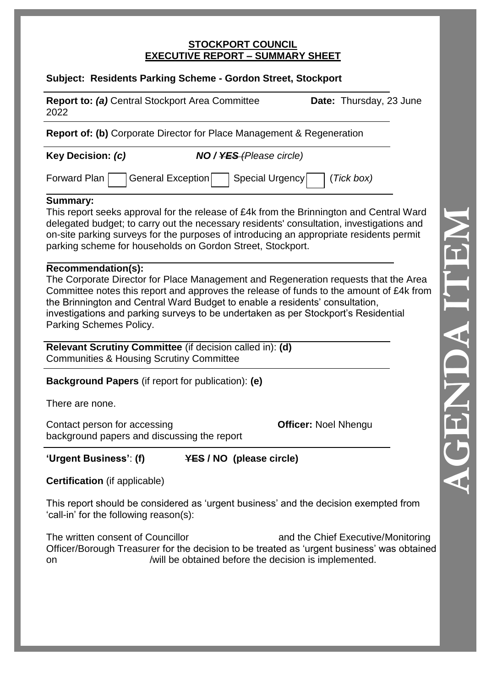#### **STOCKPORT COUNCIL EXECUTIVE REPORT – SUMMARY SHEET**

## **Subject: Residents Parking Scheme - Gordon Street, Stockport**

| <b>Report to: (a)</b> Central Stockport Area Committee<br>2022                                                                |                                 | Date: Thursday, 23 June                                                                                                                                                                                                                                                        |
|-------------------------------------------------------------------------------------------------------------------------------|---------------------------------|--------------------------------------------------------------------------------------------------------------------------------------------------------------------------------------------------------------------------------------------------------------------------------|
| <b>Report of: (b)</b> Corporate Director for Place Management & Regeneration                                                  |                                 |                                                                                                                                                                                                                                                                                |
| Key Decision: (c)                                                                                                             | <b>NO</b> / YES (Please circle) |                                                                                                                                                                                                                                                                                |
| <b>Forward Plan</b>                                                                                                           | General Exception               | Special Urgency<br>(Tick box)                                                                                                                                                                                                                                                  |
| <b>Summary:</b><br>parking scheme for households on Gordon Street, Stockport.                                                 |                                 | This report seeks approval for the release of £4k from the Brinnington and Central Ward<br>delegated budget; to carry out the necessary residents' consultation, investigations and<br>on-site parking surveys for the purposes of introducing an appropriate residents permit |
| Recommendation(s):<br>the Brinnington and Central Ward Budget to enable a residents' consultation,<br>Parking Schemes Policy. |                                 | The Corporate Director for Place Management and Regeneration requests that the Area<br>Committee notes this report and approves the release of funds to the amount of £4k from<br>investigations and parking surveys to be undertaken as per Stockport's Residential           |
| Relevant Scrutiny Committee (if decision called in): (d)<br><b>Communities &amp; Housing Scrutiny Committee</b>               |                                 |                                                                                                                                                                                                                                                                                |
| <b>Background Papers</b> (if report for publication): (e)                                                                     |                                 |                                                                                                                                                                                                                                                                                |
| There are none.                                                                                                               |                                 |                                                                                                                                                                                                                                                                                |
| Contact person for accessing<br>background papers and discussing the report                                                   |                                 | <b>Officer: Noel Nhengu</b>                                                                                                                                                                                                                                                    |
| 'Urgent Business': (f)                                                                                                        | <b>YES / NO (please circle)</b> |                                                                                                                                                                                                                                                                                |
| <b>Certification</b> (if applicable)                                                                                          |                                 |                                                                                                                                                                                                                                                                                |
| 'call-in' for the following reason(s):                                                                                        |                                 | This report should be considered as 'urgent business' and the decision exempted from                                                                                                                                                                                           |
| The written consent of Councillor                                                                                             |                                 | and the Chief Executive/Monitoring<br>Officer/Borough Treasurer for the decision to be treated as 'urgent business' was obtained                                                                                                                                               |

on /will be obtained before the decision is implemented.

**AGENDA ITEM**  THE AUDIO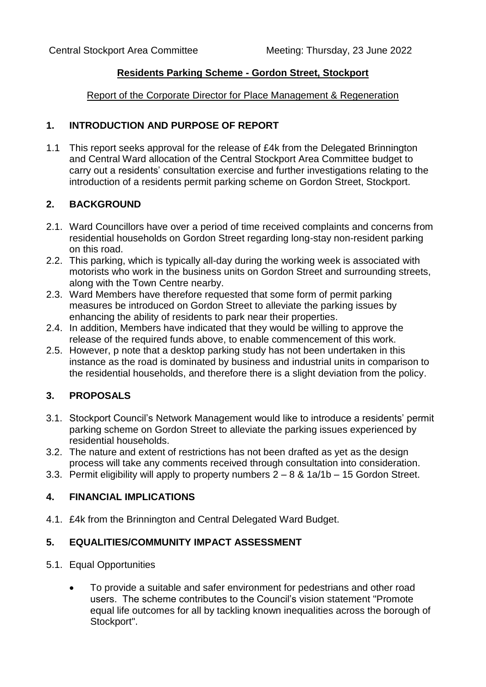### **Residents Parking Scheme - Gordon Street, Stockport**

Report of the Corporate Director for Place Management & Regeneration

### **1. INTRODUCTION AND PURPOSE OF REPORT**

1.1 This report seeks approval for the release of £4k from the Delegated Brinnington and Central Ward allocation of the Central Stockport Area Committee budget to carry out a residents' consultation exercise and further investigations relating to the introduction of a residents permit parking scheme on Gordon Street, Stockport.

### **2. BACKGROUND**

- 2.1. Ward Councillors have over a period of time received complaints and concerns from residential households on Gordon Street regarding long-stay non-resident parking on this road.
- 2.2. This parking, which is typically all-day during the working week is associated with motorists who work in the business units on Gordon Street and surrounding streets, along with the Town Centre nearby.
- 2.3. Ward Members have therefore requested that some form of permit parking measures be introduced on Gordon Street to alleviate the parking issues by enhancing the ability of residents to park near their properties.
- 2.4. In addition, Members have indicated that they would be willing to approve the release of the required funds above, to enable commencement of this work.
- 2.5. However, p note that a desktop parking study has not been undertaken in this instance as the road is dominated by business and industrial units in comparison to the residential households, and therefore there is a slight deviation from the policy.

# **3. PROPOSALS**

- 3.1. Stockport Council's Network Management would like to introduce a residents' permit parking scheme on Gordon Street to alleviate the parking issues experienced by residential households.
- 3.2. The nature and extent of restrictions has not been drafted as yet as the design process will take any comments received through consultation into consideration.
- 3.3. Permit eligibility will apply to property numbers 2 8 & 1a/1b 15 Gordon Street.

## **4. FINANCIAL IMPLICATIONS**

4.1. £4k from the Brinnington and Central Delegated Ward Budget.

## **5. EQUALITIES/COMMUNITY IMPACT ASSESSMENT**

- 5.1. Equal Opportunities
	- To provide a suitable and safer environment for pedestrians and other road users. The scheme contributes to the Council's vision statement "Promote equal life outcomes for all by tackling known inequalities across the borough of Stockport".